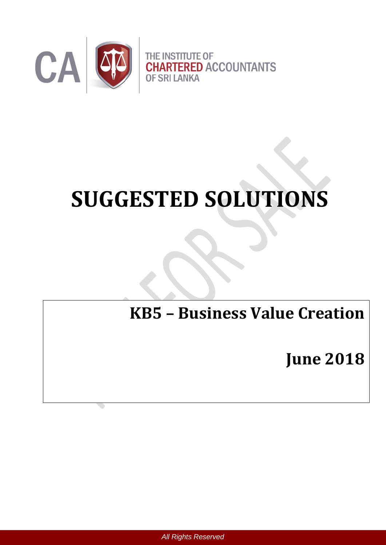

# **SUGGESTED SOLUTIONS**

# **KB5 – Business Value Creation**

**June 2018**

 *All Rights Reserved*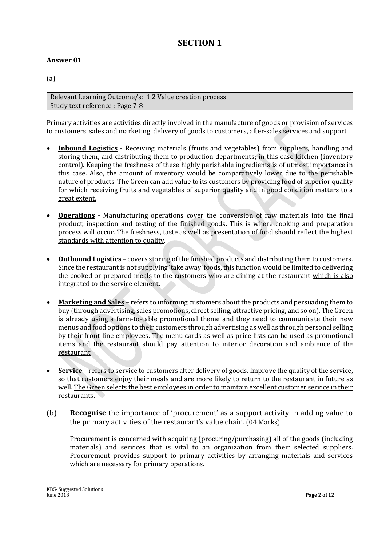# **SECTION 1**

#### **Answer 01**

(a)

Relevant Learning Outcome/s: 1.2 Value creation process Study text reference : Page 7-8

Primary activities are activities directly involved in the manufacture of goods or provision of services to customers, sales and marketing, delivery of goods to customers, after-sales services and support.

- **Inbound Logistics** Receiving materials (fruits and vegetables) from suppliers, handling and storing them, and distributing them to production departments; in this case kitchen (inventory control). Keeping the freshness of these highly perishable ingredients is of utmost importance in this case. Also, the amount of inventory would be comparatively lower due to the perishable nature of products. The Green can add value to its customers by providing food of superior quality for which receiving fruits and vegetables of superior quality and in good condition matters to a great extent.
- **Operations** Manufacturing operations cover the conversion of raw materials into the final product, inspection and testing of the finished goods. This is where cooking and preparation process will occur. The freshness, taste as well as presentation of food should reflect the highest standards with attention to quality.
- **Outbound Logistics** covers storing of the finished products and distributing them to customers. Since the restaurant is not supplying 'take away' foods, this function would be limited to delivering the cooked or prepared meals to the customers who are dining at the restaurant which is also integrated to the service element.
- **Marketing and Sales** refers to informing customers about the products and persuading them to buy (through advertising, sales promotions, direct selling, attractive pricing, and so on). The Green is already using a farm-to-table promotional theme and they need to communicate their new menus and food options to their customers through advertising as well as through personal selling by their front-line employees. The menu cards as well as price lists can be used as promotional items and the restaurant should pay attention to interior decoration and ambience of the restaurant.
- **Service** refers to service to customers after delivery of goods. Improve the quality of the service, so that customers enjoy their meals and are more likely to return to the restaurant in future as well. The Green selects the best employees in order to maintain excellent customer service in their restaurants.
- (b) **Recognise** the importance of 'procurement' as a support activity in adding value to the primary activities of the restaurant's value chain. (04 Marks)

Procurement is concerned with acquiring (procuring/purchasing) all of the goods (including materials) and services that is vital to an organization from their selected suppliers. Procurement provides support to primary activities by arranging materials and services which are necessary for primary operations.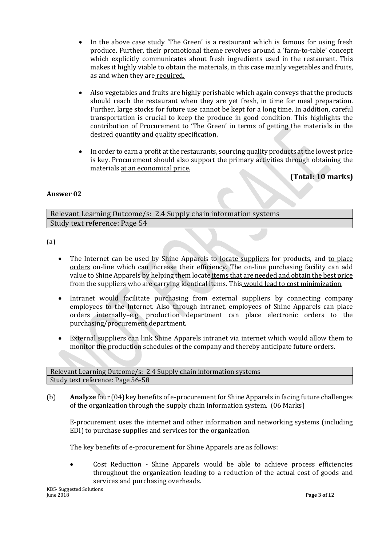- In the above case study 'The Green' is a restaurant which is famous for using fresh produce. Further, their promotional theme revolves around a 'farm-to-table' concept which explicitly communicates about fresh ingredients used in the restaurant. This makes it highly viable to obtain the materials, in this case mainly vegetables and fruits, as and when they are required.
- Also vegetables and fruits are highly perishable which again conveys that the products should reach the restaurant when they are yet fresh, in time for meal preparation. Further, large stocks for future use cannot be kept for a long time. In addition, careful transportation is crucial to keep the produce in good condition. This highlights the contribution of Procurement to 'The Green' in terms of getting the materials in the desired quantity and quality specification.
- In order to earn a profit at the restaurants, sourcing quality products at the lowest price is key. Procurement should also support the primary activities through obtaining the materials at an economical price.

#### **(Total: 10 marks)**

#### **Answer 02**

Relevant Learning Outcome/s: 2.4 Supply chain information systems Study text reference: Page 54

(a)

- The Internet can be used by Shine Apparels to locate suppliers for products, and to place orders on-line which can increase their efficiency. The on-line purchasing facility can add value to Shine Apparels by helping them locate items that are needed and obtain the best price from the suppliers who are carrying identical items. This would lead to cost minimization.
- Intranet would facilitate purchasing from external suppliers by connecting company employees to the Internet. Also through intranet, employees of Shine Apparels can place orders internally–e.g. production department can place electronic orders to the purchasing/procurement department.
- External suppliers can link Shine Apparels intranet via internet which would allow them to monitor the production schedules of the company and thereby anticipate future orders.

Relevant Learning Outcome/s: 2.4 Supply chain information systems Study text reference: Page 56-58

(b) **Analyze** four (04) key benefits of e-procurement for Shine Apparels in facing future challenges of the organization through the supply chain information system. (06 Marks)

E-procurement uses the internet and other information and networking systems (including EDI) to purchase supplies and services for the organization.

The key benefits of e-procurement for Shine Apparels are as follows:

 Cost Reduction - Shine Apparels would be able to achieve process efficiencies throughout the organization leading to a reduction of the actual cost of goods and services and purchasing overheads.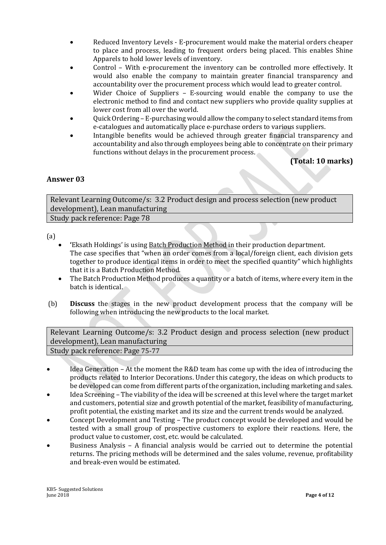- Reduced Inventory Levels E-procurement would make the material orders cheaper to place and process, leading to frequent orders being placed. This enables Shine Apparels to hold lower levels of inventory.
- Control With e-procurement the inventory can be controlled more effectively. It would also enable the company to maintain greater financial transparency and accountability over the procurement process which would lead to greater control.
- Wider Choice of Suppliers E-sourcing would enable the company to use the electronic method to find and contact new suppliers who provide quality supplies at lower cost from all over the world.
- Quick Ordering E-purchasing would allow the company to select standard items from e-catalogues and automatically place e-purchase orders to various suppliers.
- Intangible benefits would be achieved through greater financial transparency and accountability and also through employees being able to concentrate on their primary functions without delays in the procurement process.

# **(Total: 10 marks)**

#### **Answer 03**

Relevant Learning Outcome/s: 3.2 Product design and process selection (new product development), Lean manufacturing

Study pack reference: Page 78

(a)

- **'**Eksath Holdings' is using Batch Production Method in their production department. The case specifies that "when an order comes from a local/foreign client, each division gets together to produce identical items in order to meet the specified quantity" which highlights that it is a Batch Production Method.
- The Batch Production Method produces a quantity or a batch of items, where every item in the batch is identical.
- (b) **Discuss** the stages in the new product development process that the company will be following when introducing the new products to the local market.

Relevant Learning Outcome/s: 3.2 Product design and process selection (new product development), Lean manufacturing

Study pack reference: Page 75-77

- Idea Generation At the moment the R&D team has come up with the idea of introducing the products related to Interior Decorations. Under this category, the ideas on which products to be developed can come from different parts of the organization, including marketing and sales.
- Idea Screening The viability of the idea will be screened at this level where the target market and customers, potential size and growth potential of the market, feasibility of manufacturing, profit potential, the existing market and its size and the current trends would be analyzed.
- Concept Development and Testing The product concept would be developed and would be tested with a small group of prospective customers to explore their reactions. Here, the product value to customer, cost, etc. would be calculated.
- Business Analysis A financial analysis would be carried out to determine the potential returns. The pricing methods will be determined and the sales volume, revenue, profitability and break-even would be estimated.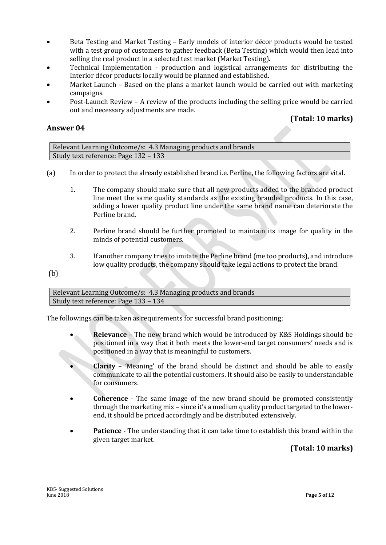- Beta Testing and Market Testing Early models of interior décor products would be tested with a test group of customers to gather feedback (Beta Testing) which would then lead into selling the real product in a selected test market (Market Testing).
- Technical Implementation production and logistical arrangements for distributing the Interior décor products locally would be planned and established.
- Market Launch Based on the plans a market launch would be carried out with marketing campaigns.
- Post-Launch Review A review of the products including the selling price would be carried out and necessary adjustments are made.

### **(Total: 10 marks)**

#### **Answer 04**

Relevant Learning Outcome/s: 4.3 Managing products and brands Study text reference: Page 132 – 133

- (a) In order to protect the already established brand i.e. Perline, the following factors are vital.
	- 1. The company should make sure that all new products added to the branded product line meet the same quality standards as the existing branded products. In this case, adding a lower quality product line under the same brand name can deteriorate the Perline brand.
	- 2. Perline brand should be further promoted to maintain its image for quality in the minds of potential customers.
	- 3. If another company tries to imitate the Perline brand (me too products), and introduce low quality products, the company should take legal actions to protect the brand.
- (b)

Relevant Learning Outcome/s: 4.3 Managing products and brands Study text reference: Page 133 – 134

The followings can be taken as requirements for successful brand positioning;

- **Relevance** The new brand which would be introduced by K&S Holdings should be positioned in a way that it both meets the lower-end target consumers' needs and is positioned in a way that is meaningful to customers.
- **Clarity** 'Meaning' of the brand should be distinct and should be able to easily communicate to all the potential customers. It should also be easily to understandable for consumers.
- **Coherence** The same image of the new brand should be promoted consistently through the marketing mix – since it's a medium quality product targeted to the lowerend, it should be priced accordingly and be distributed extensively.
- **Patience** The understanding that it can take time to establish this brand within the given target market.

**(Total: 10 marks)**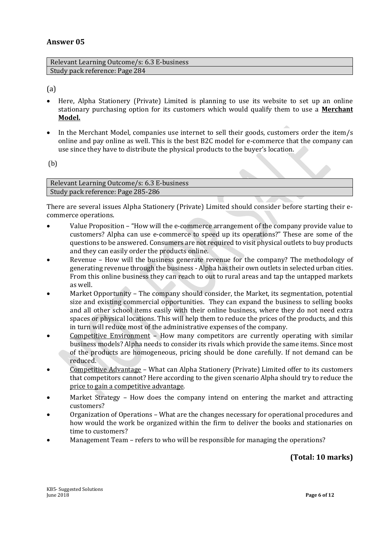#### **Answer 05**

| Relevant Learning Outcome/s: 6.3 E-business |  |
|---------------------------------------------|--|
| Study pack reference: Page 284              |  |

(a)

- Here, Alpha Stationery (Private) Limited is planning to use its website to set up an online stationary purchasing option for its customers which would qualify them to use a **Merchant Model.**
- In the Merchant Model, companies use internet to sell their goods, customers order the item/s online and pay online as well. This is the best B2C model for e-commerce that the company can use since they have to distribute the physical products to the buyer's location.

(b)

Relevant Learning Outcome/s: 6.3 E-business Study pack reference: Page 285-286

There are several issues Alpha Stationery (Private) Limited should consider before starting their ecommerce operations.

- Value Proposition "How will the e-commerce arrangement of the company provide value to customers? Alpha can use e-commerce to speed up its operations?" These are some of the questions to be answered. Consumers are not required to visit physical outlets to buy products and they can easily order the products online.
- Revenue How will the business generate revenue for the company? The methodology of generating revenue through the business - Alpha has their own outlets in selected urban cities. From this online business they can reach to out to rural areas and tap the untapped markets as well.
- Market Opportunity The company should consider, the Market, its segmentation, potential size and existing commercial opportunities. They can expand the business to selling books and all other school items easily with their online business, where they do not need extra spaces or physical locations. This will help them to reduce the prices of the products, and this in turn will reduce most of the administrative expenses of the company.
- Competitive Environment How many competitors are currently operating with similar business models? Alpha needs to consider its rivals which provide the same items. Since most of the products are homogeneous, pricing should be done carefully. If not demand can be reduced.
- Competitive Advantage What can Alpha Stationery (Private) Limited offer to its customers that competitors cannot? Here according to the given scenario Alpha should try to reduce the price to gain a competitive advantage.
- Market Strategy How does the company intend on entering the market and attracting customers?
- Organization of Operations What are the changes necessary for operational procedures and how would the work be organized within the firm to deliver the books and stationaries on time to customers?
- Management Team refers to who will be responsible for managing the operations?

# **(Total: 10 marks)**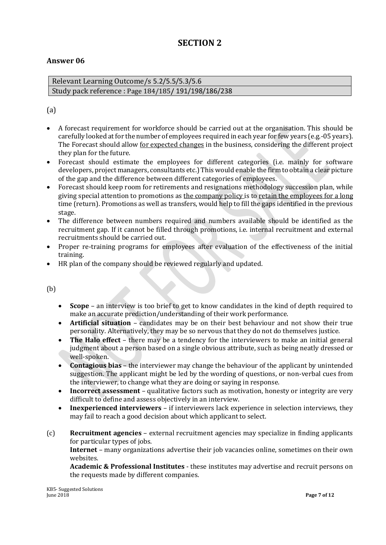# **SECTION 2**

#### **Answer 06**

Relevant Learning Outcome/s 5.2/5.5/5.3/5.6 Study pack reference : Page 184/185**/** 191/198/186/238

#### (a)

- A forecast requirement for workforce should be carried out at the organisation. This should be carefully looked at for the number of employees required in each year for few years (e.g.-05 years). The Forecast should allow for expected changes in the business, considering the different project they plan for the future.
- Forecast should estimate the employees for different categories (i.e. mainly for software developers, project managers, consultants etc.) This would enable the firm to obtain a clear picture of the gap and the difference between different categories of employees.
- Forecast should keep room for retirements and resignations methodology succession plan, while giving special attention to promotions as the company policy is to retain the employees for a long time (return). Promotions as well as transfers, would help to fill the gaps identified in the previous stage.
- The difference between numbers required and numbers available should be identified as the recruitment gap. If it cannot be filled through promotions, i.e. internal recruitment and external recruitments should be carried out.
- Proper re-training programs for employees after evaluation of the effectiveness of the initial training.
- HR plan of the company should be reviewed regularly and updated.

(b)

- **Scope**  an interview is too brief to get to know candidates in the kind of depth required to make an accurate prediction/understanding of their work performance.
- **Artificial situation** candidates may be on their best behaviour and not show their true personality. Alternatively, they may be so nervous that they do not do themselves justice.
- **The Halo effect** there may be a tendency for the interviewers to make an initial general judgment about a person based on a single obvious attribute, such as being neatly dressed or well-spoken.
- **Contagious bias** the interviewer may change the behaviour of the applicant by unintended suggestion. The applicant might be led by the wording of questions, or non-verbal cues from the interviewer, to change what they are doing or saying in response.
- **Incorrect assessment** qualitative factors such as motivation, honesty or integrity are very difficult to define and assess objectively in an interview.
- **Inexperienced interviewers** if interviewers lack experience in selection interviews, they may fail to reach a good decision about which applicant to select.
- (c) **Recruitment agencies** external recruitment agencies may specialize in finding applicants for particular types of jobs. **Internet** – many organizations advertise their job vacancies online, sometimes on their own websites. **Academic & Professional Institutes** - these institutes may advertise and recruit persons on the requests made by different companies.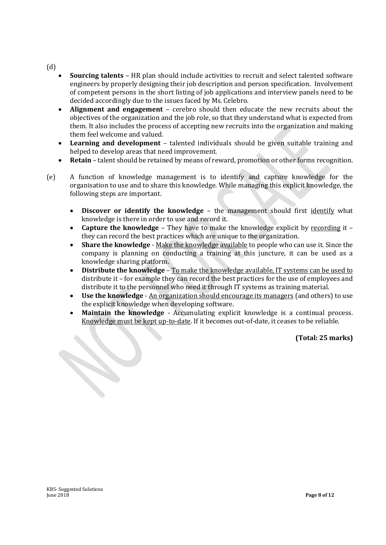(d)

- **Sourcing talents** HR plan should include activities to recruit and select talented software engineers by properly designing their job description and person specification. Involvement of competent persons in the short listing of job applications and interview panels need to be decided accordingly due to the issues faced by Ms. Celebro.
- **Alignment and engagement** cerebro should then educate the new recruits about the objectives of the organization and the job role, so that they understand what is expected from them. It also includes the process of accepting new recruits into the organization and making them feel welcome and valued.
- **Learning and development** talented individuals should be given suitable training and helped to develop areas that need improvement.
- **Retain** talent should be retained by means of reward, promotion or other forms recognition.
- (e) A function of knowledge management is to identify and capture knowledge for the organisation to use and to share this knowledge. While managing this explicit knowledge, the following steps are important.
	- **Discover or identify the knowledge** the management should first identify what knowledge is there in order to use and record it.
	- **Capture the knowledge** They have to make the knowledge explicit by recording it they can record the best practices which are unique to the organization.
	- **Share the knowledge** Make the knowledge available to people who can use it. Since the company is planning on conducting a training at this juncture, it can be used as a knowledge sharing platform.
	- **Distribute the knowledge** To make the knowledge available, IT systems can be used to distribute it – for example they can record the best practices for the use of employees and distribute it to the personnel who need it through IT systems as training material.
	- **Use the knowledge** An organization should encourage its managers (and others) to use the explicit knowledge when developing software.
	- **Maintain the knowledge** Accumulating explicit knowledge is a continual process. Knowledge must be kept up-to-date. If it becomes out-of-date, it ceases to be reliable.

#### **(Total: 25 marks)**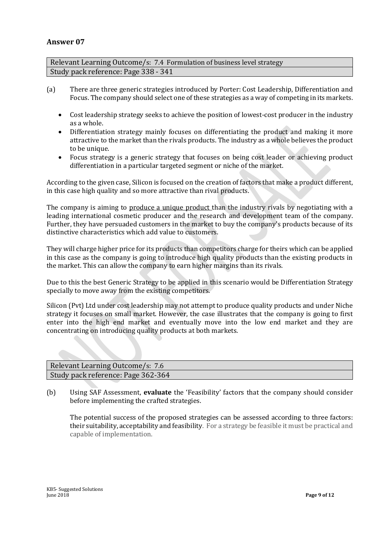#### **Answer 07**

Relevant Learning Outcome/s: 7.4 Formulation of business level strategy Study pack reference: Page 338 - 341

- (a) There are three generic strategies introduced by Porter: Cost Leadership, Differentiation and Focus. The company should select one of these strategies as a way of competing in its markets.
	- Cost leadership strategy seeks to achieve the position of lowest-cost producer in the industry as a whole.
	- Differentiation strategy mainly focuses on differentiating the product and making it more attractive to the market than the rivals products. The industry as a whole believes the product to be unique.
	- Focus strategy is a generic strategy that focuses on being cost leader or achieving product differentiation in a particular targeted segment or niche of the market.

According to the given case, Silicon is focused on the creation of factors that make a product different, in this case high quality and so more attractive than rival products.

The company is aiming to produce a unique product than the industry rivals by negotiating with a leading international cosmetic producer and the research and development team of the company. Further, they have persuaded customers in the market to buy the company's products because of its distinctive characteristics which add value to customers.

They will charge higher price for its products than competitors charge for theirs which can be applied in this case as the company is going to introduce high quality products than the existing products in the market. This can allow the company to earn higher margins than its rivals.

Due to this the best Generic Strategy to be applied in this scenario would be Differentiation Strategy specially to move away from the existing competitors.

Silicon (Pvt) Ltd under cost leadership may not attempt to produce quality products and under Niche strategy it focuses on small market. However, the case illustrates that the company is going to first enter into the high end market and eventually move into the low end market and they are concentrating on introducing quality products at both markets.

| Relevant Learning Outcome/s: 7.6   |
|------------------------------------|
| Study pack reference: Page 362-364 |

(b) Using SAF Assessment, **evaluate** the 'Feasibility' factors that the company should consider before implementing the crafted strategies.

The potential success of the proposed strategies can be assessed according to three factors: their suitability, acceptability and feasibility. For a strategy be feasible it must be practical and capable of implementation.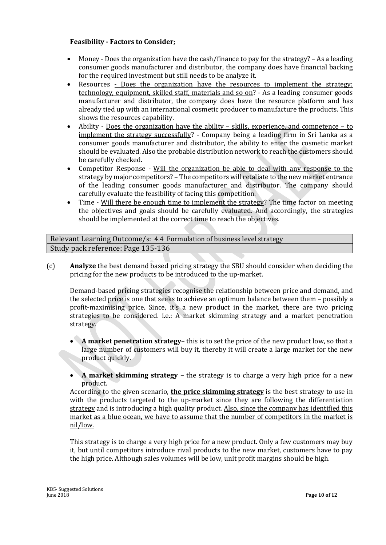#### **Feasibility - Factors to Consider;**

- Money Does the organization have the cash/finance to pay for the strategy? As a leading consumer goods manufacturer and distributor, the company does have financial backing for the required investment but still needs to be analyze it.
- Resources Does the organization have the resources to implement the strategy: technology, equipment, skilled staff, materials and so on? - As a leading consumer goods manufacturer and distributor, the company does have the resource platform and has already tied up with an international cosmetic producer to manufacture the products. This shows the resources capability.
- Ability Does the organization have the ability skills, experience, and competence to implement the strategy successfully? - Company being a leading firm in Sri Lanka as a consumer goods manufacturer and distributor, the ability to enter the cosmetic market should be evaluated. Also the probable distribution network to reach the customers should be carefully checked.
- Competitor Response Will the organization be able to deal with any response to the strategy by major competitors? – The competitors will retaliate to the new market entrance of the leading consumer goods manufacturer and distributor. The company should carefully evaluate the feasibility of facing this competition.
- Time Will there be enough time to implement the strategy? The time factor on meeting the objectives and goals should be carefully evaluated. And accordingly, the strategies should be implemented at the correct time to reach the objectives.

Relevant Learning Outcome/s: 4.4 Formulation of business level strategy Study pack reference: Page 135-136

(c) **Analyze** the best demand based pricing strategy the SBU should consider when deciding the pricing for the new products to be introduced to the up-market.

Demand-based pricing strategies recognise the relationship between price and demand, and the selected price is one that seeks to achieve an optimum balance between them – possibly a profit-maximising price. Since, it's a new product in the market, there are two pricing strategies to be considered. i.e.: A market skimming strategy and a market penetration strategy.

- **A market penetration strategy** this is to set the price of the new product low, so that a large number of customers will buy it, thereby it will create a large market for the new product quickly.
- **A market skimming strategy** the strategy is to charge a very high price for a new product.

According to the given scenario, **the price skimming strategy** is the best strategy to use in with the products targeted to the up-market since they are following the differentiation strategy and is introducing a high quality product. Also, since the company has identified this market as a blue ocean, we have to assume that the number of competitors in the market is nil/low.

This strategy is to charge a very high price for a new product. Only a few customers may buy it, but until competitors introduce rival products to the new market, customers have to pay the high price. Although sales volumes will be low, unit profit margins should be high.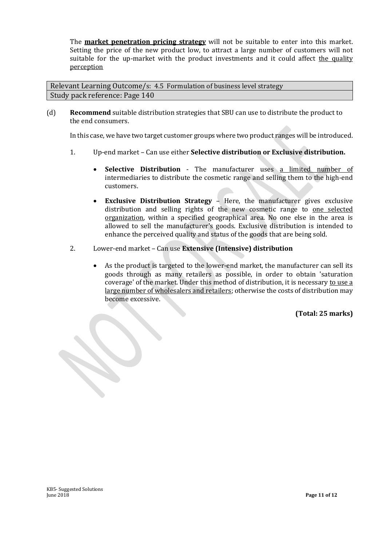The **market penetration pricing strategy** will not be suitable to enter into this market. Setting the price of the new product low, to attract a large number of customers will not suitable for the up-market with the product investments and it could affect the quality perception

Relevant Learning Outcome/s: 4.5 Formulation of business level strategy Study pack reference: Page 140

(d) **Recommend** suitable distribution strategies that SBU can use to distribute the product to the end consumers.

In this case, we have two target customer groups where two product ranges will be introduced.

- 1. Up-end market Can use either **Selective distribution or Exclusive distribution.**
	- **Selective Distribution** The manufacturer uses a limited number of intermediaries to distribute the cosmetic range and selling them to the high-end customers.
	- **Exclusive Distribution Strategy** Here, the manufacturer gives exclusive distribution and selling rights of the new cosmetic range to one selected organization, within a specified geographical area. No one else in the area is allowed to sell the manufacturer's goods. Exclusive distribution is intended to enhance the perceived quality and status of the goods that are being sold.
- 2. Lower-end market Can use **Extensive (Intensive) distribution**
	- As the product is targeted to the lower-end market, the manufacturer can sell its goods through as many retailers as possible, in order to obtain 'saturation coverage' of the market. Under this method of distribution, it is necessary to use a large number of wholesalers and retailers; otherwise the costs of distribution may become excessive.

**(Total: 25 marks)**